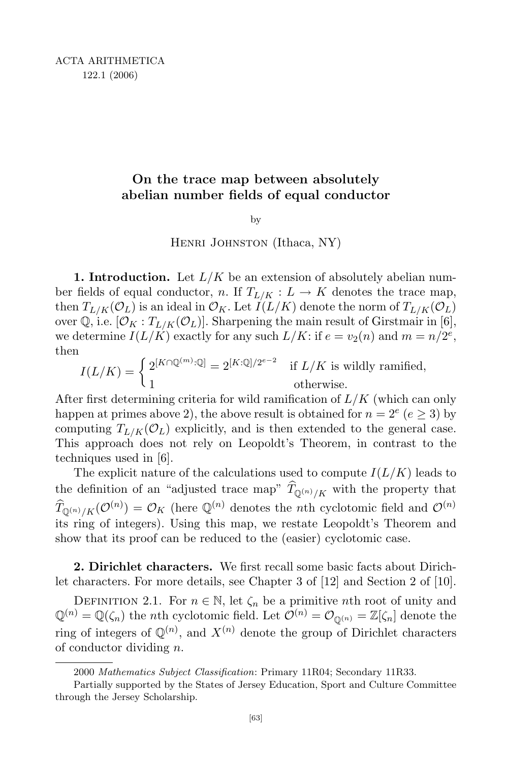# On the trace map between absolutely abelian number fields of equal conductor

by

HENRI JOHNSTON (Ithaca, NY)

**1. Introduction.** Let  $L/K$  be an extension of absolutely abelian number fields of equal conductor, n. If  $T_{L/K}: L \to K$  denotes the trace map, then  $T_{L/K}(\mathcal{O}_L)$  is an ideal in  $\mathcal{O}_K$ . Let  $I(L/K)$  denote the norm of  $T_{L/K}(\mathcal{O}_L)$ over Q, i.e.  $[\mathcal{O}_K : T_{L/K}(\mathcal{O}_L)]$ . Sharpening the main result of Girstmair in [6], we determine  $I(L/K)$  exactly for any such  $L/K$ : if  $e = v_2(n)$  and  $m = n/2^e$ , then

$$
I(L/K) = \begin{cases} 2^{[K \cap \mathbb{Q}^{(m)}:\mathbb{Q}]} = 2^{[K:\mathbb{Q}]/2^{e-2}} & \text{if } L/K \text{ is wildly ramified,} \\ 1 & \text{otherwise.} \end{cases}
$$

After first determining criteria for wild ramification of  $L/K$  (which can only happen at primes above 2), the above result is obtained for  $n = 2^e$  ( $e \ge 3$ ) by computing  $T_{L/K}(\mathcal{O}_L)$  explicitly, and is then extended to the general case. This approach does not rely on Leopoldt's Theorem, in contrast to the techniques used in [6].

The explicit nature of the calculations used to compute  $I(L/K)$  leads to the definition of an "adjusted trace map"  $T_{\mathbb{Q}^{(n)}/K}$  with the property that  $\widehat{T}_{\mathbb{Q}^{(n)}/K}(\mathcal{O}^{(n)}) = \mathcal{O}_K$  (here  $\mathbb{Q}^{(n)}$  denotes the *n*th cyclotomic field and  $\mathcal{O}^{(n)}$ its ring of integers). Using this map, we restate Leopoldt's Theorem and show that its proof can be reduced to the (easier) cyclotomic case.

2. Dirichlet characters. We first recall some basic facts about Dirichlet characters. For more details, see Chapter 3 of [12] and Section 2 of [10].

DEFINITION 2.1. For  $n \in \mathbb{N}$ , let  $\zeta_n$  be a primitive nth root of unity and  $\mathbb{Q}^{(n)} = \mathbb{Q}(\zeta_n)$  the *n*th cyclotomic field. Let  $\mathcal{O}^{(n)} = \mathcal{O}_{\mathbb{Q}^{(n)}} = \mathbb{Z}[\zeta_n]$  denote the ring of integers of  $\mathbb{Q}^{(n)}$ , and  $X^{(n)}$  denote the group of Dirichlet characters of conductor dividing  $n$ .

<sup>2000</sup> Mathematics Subject Classification: Primary 11R04; Secondary 11R33.

Partially supported by the States of Jersey Education, Sport and Culture Committee through the Jersey Scholarship.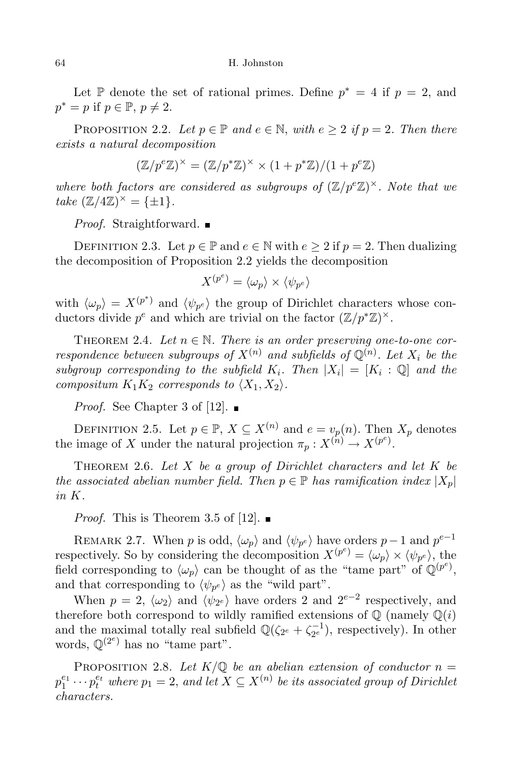Let  $\mathbb P$  denote the set of rational primes. Define  $p^* = 4$  if  $p = 2$ , and  $p^* = p$  if  $p \in \mathbb{P}, p \neq 2$ .

PROPOSITION 2.2. Let  $p \in \mathbb{P}$  and  $e \in \mathbb{N}$ , with  $e \geq 2$  if  $p = 2$ . Then there exists a natural decomposition

$$
(\mathbb{Z}/p^e\mathbb{Z})^{\times} = (\mathbb{Z}/p^*\mathbb{Z})^{\times} \times (1 + p^*\mathbb{Z})/(1 + p^e\mathbb{Z})
$$

where both factors are considered as subgroups of  $(\mathbb{Z}/p^e\mathbb{Z})^{\times}$ . Note that we take  $(\mathbb{Z}/4\mathbb{Z})^{\times} = {\pm 1}.$ 

*Proof.* Straightforward.  $\blacksquare$ 

DEFINITION 2.3. Let  $p \in \mathbb{P}$  and  $e \in \mathbb{N}$  with  $e \geq 2$  if  $p = 2$ . Then dualizing the decomposition of Proposition 2.2 yields the decomposition

$$
X^{(p^e)} = \langle \omega_p \rangle \times \langle \psi_{p^e} \rangle
$$

with  $\langle \omega_p \rangle = X^{(p^*)}$  and  $\langle \psi_{p^e} \rangle$  the group of Dirichlet characters whose conductors divide  $p^e$  and which are trivial on the factor  $(\mathbb{Z}/p^*\mathbb{Z})^{\times}$ .

THEOREM 2.4. Let  $n \in \mathbb{N}$ . There is an order preserving one-to-one correspondence between subgroups of  $X^{(n)}$  and subfields of  $\mathbb{Q}^{(n)}$ . Let  $X_i$  be the subgroup corresponding to the subfield  $K_i$ . Then  $|X_i| = [K_i : \mathbb{Q}]$  and the compositum  $K_1K_2$  corresponds to  $\langle X_1, X_2 \rangle$ .

*Proof.* See Chapter 3 of [12].

DEFINITION 2.5. Let  $p \in \mathbb{P}$ ,  $X \subseteq X^{(n)}$  and  $e = v_p(n)$ . Then  $X_p$  denotes the image of X under the natural projection  $\pi_p: X^{(n)} \to X^{(p^e)}$ .

THEOREM 2.6. Let  $X$  be a group of Dirichlet characters and let  $K$  be the associated abelian number field. Then  $p \in \mathbb{P}$  has ramification index  $|X_p|$ in K.

*Proof.* This is Theorem 3.5 of [12].  $\blacksquare$ 

REMARK 2.7. When p is odd,  $\langle \omega_p \rangle$  and  $\langle \psi_{p^e} \rangle$  have orders p – 1 and  $p^{e-1}$ respectively. So by considering the decomposition  $X^{(p^e)} = \langle \omega_p \rangle \times \langle \psi_{p^e} \rangle$ , the field corresponding to  $\langle \omega_p \rangle$  can be thought of as the "tame part" of  $\mathbb{Q}^{(p^e)}$ , and that corresponding to  $\langle \psi_{p^e} \rangle$  as the "wild part".

When  $p = 2$ ,  $\langle \omega_2 \rangle$  and  $\langle \psi_{2^e} \rangle$  have orders 2 and  $2^{e-2}$  respectively, and therefore both correspond to wildly ramified extensions of  $\mathbb{Q}$  (namely  $\mathbb{Q}(i)$ ) and the maximal totally real subfield  $\mathbb{Q}(\zeta_{2^e} + \zeta_{2^e}^{-1})$ , respectively). In other words,  $\mathbb{Q}^{(2^e)}$  has no "tame part".

PROPOSITION 2.8. Let  $K/\mathbb{Q}$  be an abelian extension of conductor  $n =$  $p_1^{e_1}\cdots p_t^{e_t}$  where  $p_1=2,$  and let  $X\subseteq X^{(n)}$  be its associated group of Dirichlet characters.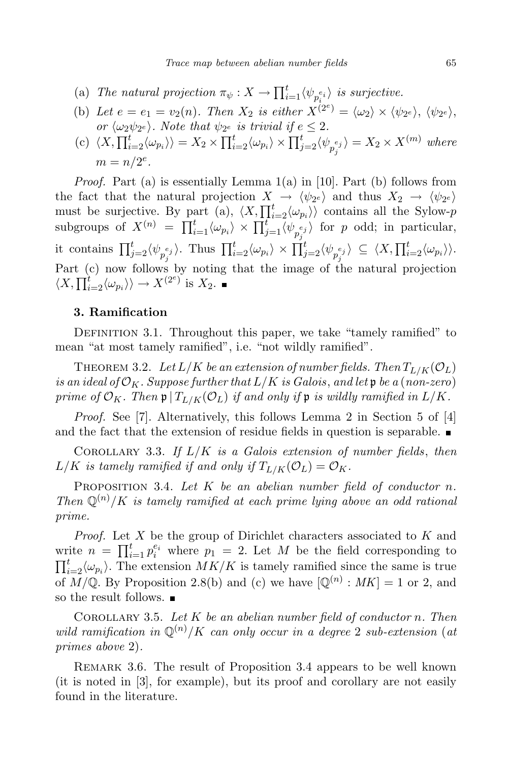- (a) The natural projection  $\pi_{\psi}: X \to \prod_{i=1}^t \langle \psi_{p_i^{e_i}} \rangle$  is surjective.
- (b) Let  $e = e_1 = v_2(n)$ . Then  $X_2$  is either  $X^{(2^e)} = \langle \omega_2 \rangle \times \langle \psi_{2^e} \rangle$ ,  $\langle \psi_{2^e} \rangle$ , or  $\langle \omega_2 \psi_{2^e} \rangle$ . Note that  $\psi_{2^e}$  is trivial if  $e \leq 2$ .
- (c)  $\langle X, \prod_{i=2}^t \langle \omega_{p_i} \rangle \rangle = X_2 \times \prod_{i=2}^t \langle \omega_{p_i} \rangle \times \prod_{j=2}^t \langle \psi_{p_j^{e_j}} \rangle = X_2 \times X^{(m)}$  where  $m = n/2^e$ .

*Proof.* Part (a) is essentially Lemma  $1(a)$  in [10]. Part (b) follows from the fact that the natural projection  $X \to \langle \psi_{2^e} \rangle$  and thus  $X_2 \to \langle \psi_{2^e} \rangle$ <br>must be surjective. By part (a),  $\langle X, \prod_{i=2}^t \langle \omega_{p_i} \rangle \rangle$  contains all the Sylow-p subgroups of  $X^{(n)} = \prod_{i=1}^t \langle \omega_{p_i} \rangle \times \prod_{j=1}^t \langle \psi_{p_j^{e_j}} \rangle$  for p odd; in particular, it contains  $\prod_{j=2}^t \langle \psi_{p_j^{e_j}} \rangle$ . Thus  $\prod_{i=2}^t \langle \omega_{p_i} \rangle \times \prod_{j=2}^t \langle \psi_{p_j^{e_j}} \rangle \subseteq \langle X, \prod_{i=2}^t \langle \omega_{p_i} \rangle \rangle$ . Part (c) now follows by noting that the image of the natural projection  $\langle X, \prod_{i=2}^{t} \langle \omega_{p_i} \rangle \rangle \rightarrow X^{(2^e)}$  is  $X_2$ .

### 3. Ramification

DEFINITION 3.1. Throughout this paper, we take "tamely ramified" to mean "at most tamely ramified", i.e. "not wildly ramified".

THEOREM 3.2. Let  $L/K$  be an extension of number fields. Then  $T_{L/K}(\mathcal{O}_L)$ is an ideal of  $\mathcal{O}_K$ . Suppose further that  $L/K$  is Galois, and let  $\mathfrak p$  be a (non-zero) prime of  $\mathcal{O}_K$ . Then  $\mathfrak{p} | T_{L/K}(\mathcal{O}_L)$  if and only if  $\mathfrak{p}$  is wildly ramified in  $L/K$ .

Proof. See [7]. Alternatively, this follows Lemma 2 in Section 5 of [4] and the fact that the extension of residue fields in question is separable.

COROLLARY 3.3. If  $L/K$  is a Galois extension of number fields, then  $L/K$  is tamely ramified if and only if  $T_{L/K}(\mathcal{O}_L) = \mathcal{O}_K$ .

PROPOSITION 3.4. Let  $K$  be an abelian number field of conductor n. Then  $\mathbb{Q}^{(n)}/K$  is tamely ramified at each prime lying above an odd rational prime.

*Proof.* Let X be the group of Dirichlet characters associated to  $K$  and write  $n = \prod_{i=1}^t p_i^{e_i}$  where  $p_1 = 2$ . Let M be the field corresponding to  $\prod_{i=2}^{t} \langle \omega_{p_i} \rangle$ . The extension  $MK/K$  is tamely ramified since the same is true of  $M/\mathbb{Q}$ . By Proposition 2.8(b) and (c) we have  $[\mathbb{Q}^{(n)} : MK] = 1$  or 2, and so the result follows.  $\blacksquare$ 

COROLLARY 3.5. Let  $K$  be an abelian number field of conductor n. Then wild ramification in  $\mathbb{Q}^{(n)}/K$  can only occur in a degree 2 sub-extension (at primes above 2).

REMARK 3.6. The result of Proposition 3.4 appears to be well known (it is noted in [3], for example), but its proof and corollary are not easily found in the literature.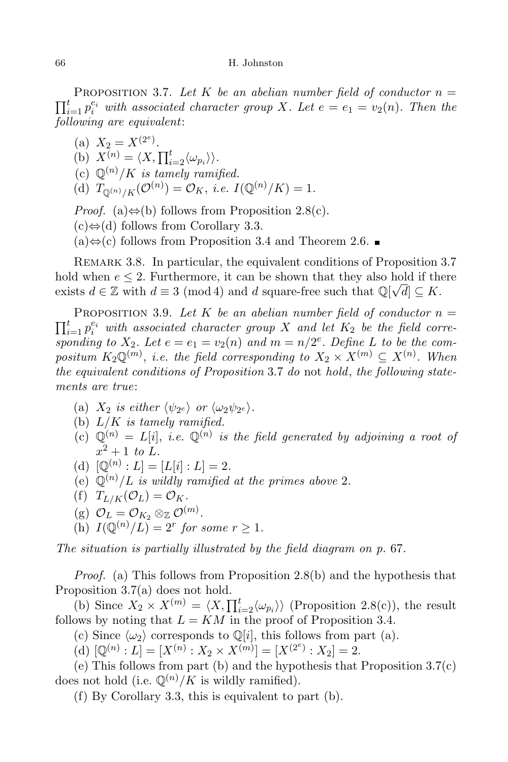#### 66 H. Johnston

 $\prod_{i=1}^t p_i^{e_i}$  with associated character group X. Let  $e = e_1 = v_2(n)$ . Then the PROPOSITION 3.7. Let K be an abelian number field of conductor  $n =$ following are equivalent:

(a)  $X_2 = X^{(2^e)}$ . (b)  $X^{(n)} = \langle X, \prod_{i=2}^t \langle \omega_{p_i} \rangle \rangle.$ (c)  $\mathbb{Q}^{(n)}/K$  is tamely ramified. (d)  $T_{\mathbb{Q}^{(n)}/K}(\mathcal{O}^{(n)}) = \mathcal{O}_K$ , *i.e.*  $I(\mathbb{Q}^{(n)}/K) = 1$ . *Proof.* (a) $\Leftrightarrow$ (b) follows from Proposition 2.8(c).

 $(c) \Leftrightarrow$  (d) follows from Corollary 3.3.

 $(a) \Leftrightarrow$  (c) follows from Proposition 3.4 and Theorem 2.6. ■

REMARK 3.8. In particular, the equivalent conditions of Proposition 3.7 hold when  $e \leq 2$ . Furthermore, it can be shown that they also hold if there exists  $d \in \mathbb{Z}$  with  $d \equiv 3 \pmod{4}$  and d square-free such that  $\mathbb{Q}[\sqrt{d}] \subseteq K$ .

 $\prod_{i=1}^t p_i^{e_i}$  with associated character group X and let  $K_2$  be the field corre-PROPOSITION 3.9. Let K be an abelian number field of conductor  $n =$ sponding to  $X_2$ . Let  $e = e_1 = v_2(n)$  and  $m = n/2^e$ . Define L to be the compositum  $K_2\mathbb{Q}^{(m)}$ , i.e. the field corresponding to  $X_2 \times X^{(m)} \subseteq X^{(n)}$ . When the equivalent conditions of Proposition 3.7 do not hold, the following statements are true:

- (a)  $X_2$  is either  $\langle \psi_{2^e} \rangle$  or  $\langle \omega_2 \psi_{2^e} \rangle$ .
- (b)  $L/K$  is tamely ramified.
- (c)  $\mathbb{Q}^{(n)} = L[i], i.e. \mathbb{Q}^{(n)}$  is the field generated by adjoining a root of  $x^2+1$  to L.
- (d)  $[\mathbb{Q}^{(n)}:L] = [L[i]:L] = 2.$
- (e)  $\mathbb{Q}^{(n)}/L$  is wildly ramified at the primes above 2.
- (f)  $T_{L/K}(\mathcal{O}_L) = \mathcal{O}_K$ .
- (g)  $\mathcal{O}_L = \mathcal{O}_{K_2} \otimes_{\mathbb{Z}} \mathcal{O}^{(m)}$ .
- (h)  $I(\mathbb{Q}^{(n)}/L) = 2^r$  for some  $r \geq 1$ .

The situation is partially illustrated by the field diagram on p. 67.

Proof. (a) This follows from Proposition 2.8(b) and the hypothesis that Proposition 3.7(a) does not hold.

(b) Since  $X_2 \times X^{(m)} = \langle X, \prod_{i=2}^t \langle \omega_{p_i} \rangle \rangle$  (Proposition 2.8(c)), the result follows by noting that  $L = KM$  in the proof of Proposition 3.4.

(c) Since  $\langle \omega_2 \rangle$  corresponds to Q[i], this follows from part (a).

(d)  $[\mathbb{Q}^{(n)} : L] = [X^{(n)} : X_2 \times X^{(m)}] = [X^{(2^e)} : X_2] = 2.$ 

(e) This follows from part (b) and the hypothesis that Proposition 3.7(c) does not hold (i.e.  $\mathbb{Q}^{(n)}/K$  is wildly ramified).

(f) By Corollary 3.3, this is equivalent to part (b).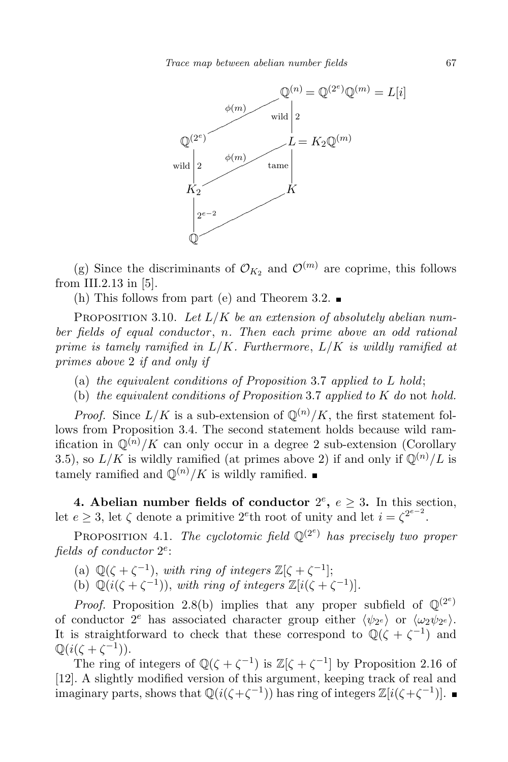Trace map between abelian number fields 67



(g) Since the discriminants of  $\mathcal{O}_{K_2}$  and  $\mathcal{O}^{(m)}$  are coprime, this follows from III.2.13 in [5].

(h) This follows from part (e) and Theorem 3.2.

PROPOSITION 3.10. Let  $L/K$  be an extension of absolutely abelian number fields of equal conductor, n. Then each prime above an odd rational prime is tamely ramified in  $L/K$ . Furthermore,  $L/K$  is wildly ramified at primes above 2 if and only if

- (a) the equivalent conditions of Proposition 3.7 applied to  $L$  hold;
- (b) the equivalent conditions of Proposition 3.7 applied to  $K$  do not hold.

*Proof.* Since  $L/K$  is a sub-extension of  $\mathbb{Q}^{(n)}/K$ , the first statement follows from Proposition 3.4. The second statement holds because wild ramification in  $\mathbb{Q}^{(n)}/K$  can only occur in a degree 2 sub-extension (Corollary 3.5), so  $L/K$  is wildly ramified (at primes above 2) if and only if  $\mathbb{Q}^{(n)}/L$  is tamely ramified and  $\mathbb{Q}^{(n)}/K$  is wildly ramified.

4. Abelian number fields of conductor  $2^e$ ,  $e \geq 3$ . In this section, let  $e \geq 3$ , let  $\zeta$  denote a primitive 2<sup>e</sup>th root of unity and let  $i = \zeta^{2^{e-2}}$ .

PROPOSITION 4.1. The cyclotomic field  $\mathbb{Q}^{(2^e)}$  has precisely two proper fields of conductor  $2^e$ :

(a)  $\mathbb{Q}(\zeta + \zeta^{-1}),$  with ring of integers  $\mathbb{Z}[\zeta + \zeta^{-1}];$ 

(b)  $\mathbb{Q}(i(\zeta + \zeta^{-1})),$  with ring of integers  $\mathbb{Z}[i(\zeta + \zeta^{-1})].$ 

*Proof.* Proposition 2.8(b) implies that any proper subfield of  $\mathbb{Q}^{(2^e)}$ of conductor  $2^e$  has associated character group either  $\langle \psi_{2^e} \rangle$  or  $\langle \omega_{2} \psi_{2^e} \rangle$ . It is straightforward to check that these correspond to  $\mathbb{Q}(\zeta + \zeta^{-1})$  and  $\mathbb{Q}(i(\zeta+\zeta^{-1})).$ 

The ring of integers of  $\mathbb{Q}(\zeta + \zeta^{-1})$  is  $\mathbb{Z}[\zeta + \zeta^{-1}]$  by Proposition 2.16 of [12]. A slightly modified version of this argument, keeping track of real and imaginary parts, shows that  $\mathbb{Q}(i(\zeta+\zeta^{-1}))$  has ring of integers  $\mathbb{Z}[i(\zeta+\zeta^{-1})]$ .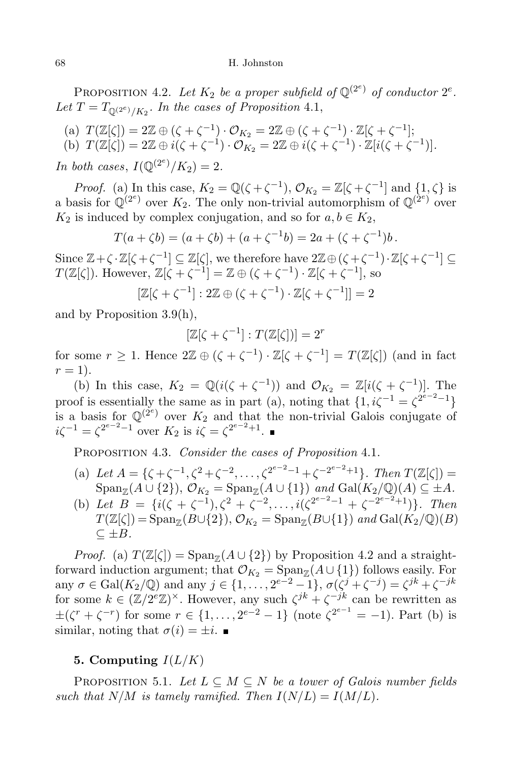PROPOSITION 4.2. Let  $K_2$  be a proper subfield of  $\mathbb{Q}^{(2^e)}$  of conductor  $2^e$ . Let  $T = T_{\mathbb{Q}^{(2^e)}/K_2}$ . In the cases of Proposition 4.1,

(a) 
$$
T(\mathbb{Z}[\zeta]) = 2\mathbb{Z} \oplus (\zeta + \zeta^{-1}) \cdot \mathcal{O}_{K_2} = 2\mathbb{Z} \oplus (\zeta + \zeta^{-1}) \cdot \mathbb{Z}[\zeta + \zeta^{-1}];
$$

(b) 
$$
T(\mathbb{Z}[\zeta]) = 2\mathbb{Z} \oplus i(\zeta + \zeta^{-1}) \cdot \mathcal{O}_{K_2} = 2\mathbb{Z} \oplus i(\zeta + \zeta^{-1}) \cdot \mathbb{Z}[i(\zeta + \zeta^{-1})].
$$

In both cases,  $I(\mathbb{Q}^{(2^e)}/K_2) = 2$ .

*Proof.* (a) In this case,  $K_2 = \mathbb{Q}(\zeta + \zeta^{-1}), \mathcal{O}_{K_2} = \mathbb{Z}[\zeta + \zeta^{-1}]$  and  $\{1, \zeta\}$  is a basis for  $\mathbb{Q}^{(2^e)}$  over  $K_2$ . The only non-trivial automorphism of  $\mathbb{Q}^{(2^e)}$  over  $K_2$  is induced by complex conjugation, and so for  $a, b \in K_2$ ,

$$
T(a + \zeta b) = (a + \zeta b) + (a + \zeta^{-1} b) = 2a + (\zeta + \zeta^{-1})b.
$$

Since  $\mathbb{Z} + \zeta \cdot \mathbb{Z}[\zeta + \zeta^{-1}] \subseteq \mathbb{Z}[\zeta]$ , we therefore have  $2\mathbb{Z} \oplus (\zeta + \zeta^{-1}) \cdot \mathbb{Z}[\zeta + \zeta^{-1}] \subseteq$  $T(\mathbb{Z}[\zeta])$ . However,  $\mathbb{Z}[\zeta + \zeta^{-1}] = \mathbb{Z} \oplus (\zeta + \zeta^{-1}) \cdot \mathbb{Z}[\zeta + \zeta^{-1}],$  so

$$
[\mathbb{Z}[\zeta+\zeta^{-1}]:2\mathbb{Z}\oplus(\zeta+\zeta^{-1})\cdot\mathbb{Z}[\zeta+\zeta^{-1}]]=2
$$

and by Proposition 3.9(h),

$$
[\mathbb{Z}[\zeta + \zeta^{-1}] : T(\mathbb{Z}[\zeta])] = 2^r
$$

for some  $r \geq 1$ . Hence  $2\mathbb{Z} \oplus (\zeta + \zeta^{-1}) \cdot \mathbb{Z}[\zeta + \zeta^{-1}] = T(\mathbb{Z}[\zeta])$  (and in fact  $r=1$ ).

(b) In this case,  $K_2 = \mathbb{Q}(i(\zeta + \zeta^{-1}))$  and  $\mathcal{O}_{K_2} = \mathbb{Z}[i(\zeta + \zeta^{-1})]$ . The proof is essentially the same as in part (a), noting that  $\{1, i\zeta^{-1} = \zeta^{2^{e-2}-1}\}$ is a basis for  $\mathbb{Q}^{(2^e)}$  over  $K_2$  and that the non-trivial Galois conjugate of  $i\zeta^{-1} = \zeta^{2^{e-2}-1}$  over  $K_2$  is  $i\bar{\zeta} = \zeta^{2^{e-2}+1}$ .

Proposition 4.3. Consider the cases of Proposition 4.1.

- (a) Let  $A = \{ \zeta + \zeta^{-1}, \zeta^2 + \zeta^{-2}, \dots, \zeta^{2^{e-2}-1} + \zeta^{-2^{e-2}+1} \}$ . Then  $T(\mathbb{Z}[\zeta]) =$  $\text{Span}_{\mathbb{Z}}(A \cup \{2\}), \mathcal{O}_{K_2} = \text{Span}_{\mathbb{Z}}(A \cup \{1\})$  and  $\text{Gal}(K_2/\mathbb{Q})(A) \subseteq \pm A$ .
- (b) Let  $B = \{i(\zeta + \zeta^{-1}), \zeta^2 + \zeta^{-2}, \ldots, i(\zeta^{2^{e-2}-1} + \zeta^{-2^{e-2}+1})\}$ . Then  $T(\mathbb{Z}[\zeta]) = \text{Span}_{\mathbb{Z}}(B \cup \{2\}), \mathcal{O}_{K_2} = \text{Span}_{\mathbb{Z}}(B \cup \{1\})$  and  $\text{Gal}(K_2/\mathbb{Q})(B)$  $\subset \pm B$ .

*Proof.* (a)  $T(\mathbb{Z}[\zeta]) = \text{Span}_{\mathbb{Z}}(A \cup \{2\})$  by Proposition 4.2 and a straightforward induction argument; that  $\mathcal{O}_{K_2} = \text{Span}_{\mathbb{Z}}(A \cup \{1\})$  follows easily. For any  $\sigma \in \text{Gal}(K_2/\mathbb{Q})$  and any  $j \in \{1, \ldots, 2^{e-2}-1\}, \sigma(\zeta^j + \zeta^{-j}) = \zeta^{jk} + \zeta^{-jk}$ for some  $k \in (\mathbb{Z}/2^e\mathbb{Z})^{\times}$ . However, any such  $\zeta^{jk} + \zeta^{-jk}$  can be rewritten as  $\pm(\zeta^r + \zeta^{-r})$  for some  $r \in \{1, ..., 2^{e-2} - 1\}$  (note  $\zeta^{2^{e-1}} = -1$ ). Part (b) is similar, noting that  $\sigma(i) = \pm i$ .

## 5. Computing  $I(L/K)$

PROPOSITION 5.1. Let  $L \subseteq M \subseteq N$  be a tower of Galois number fields such that  $N/M$  is tamely ramified. Then  $I(N/L) = I(M/L)$ .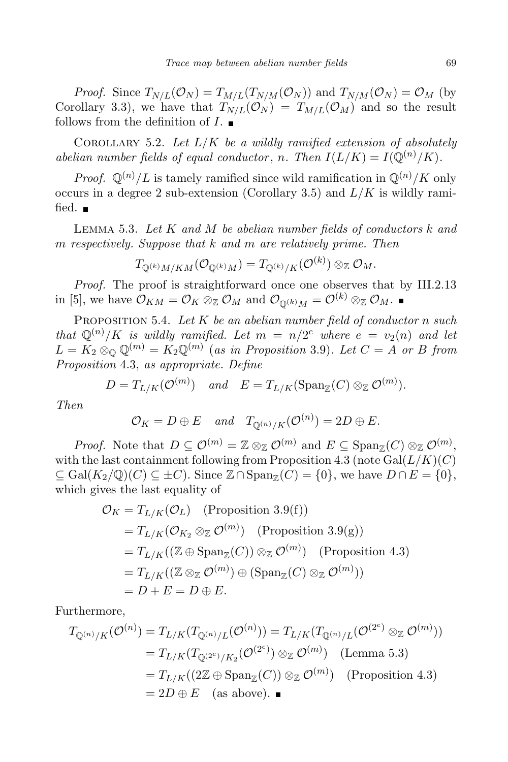*Proof.* Since  $T_{N/L}(\mathcal{O}_N) = T_{M/L}(T_{N/M}(\mathcal{O}_N))$  and  $T_{N/M}(\mathcal{O}_N) = \mathcal{O}_M$  (by Corollary 3.3), we have that  $T_{N/L}(\mathcal{O}_N) = T_{M/L}(\mathcal{O}_M)$  and so the result follows from the definition of  $I$ .

COROLLARY 5.2. Let  $L/K$  be a wildly ramified extension of absolutely abelian number fields of equal conductor, n. Then  $I(L/K) = I(\mathbb{Q}^{(n)}/K)$ .

*Proof.*  $\mathbb{Q}^{(n)}/L$  is tamely ramified since wild ramification in  $\mathbb{Q}^{(n)}/K$  only occurs in a degree 2 sub-extension (Corollary 3.5) and  $L/K$  is wildly ramified.  $\blacksquare$ 

LEMMA 5.3. Let  $K$  and  $M$  be abelian number fields of conductors  $k$  and m respectively. Suppose that k and m are relatively prime. Then

$$
T_{\mathbb{Q}^{(k)}M/KM}(\mathcal{O}_{\mathbb{Q}^{(k)}M})=T_{\mathbb{Q}^{(k)}/K}(\mathcal{O}^{(k)})\otimes_{\mathbb{Z}}\mathcal{O}_M.
$$

Proof. The proof is straightforward once one observes that by III.2.13 in [5], we have  $\mathcal{O}_{KM} = \mathcal{O}_K \otimes_{\mathbb{Z}} \mathcal{O}_M$  and  $\mathcal{O}_{\mathbb{Q}(k)M} = \mathcal{O}^{(k)} \otimes_{\mathbb{Z}} \mathcal{O}_M$ .

PROPOSITION 5.4. Let  $K$  be an abelian number field of conductor n such that  $\mathbb{Q}^{(n)}/K$  is wildly ramified. Let  $m = n/2^e$  where  $e = v_2(n)$  and let  $L = K_2 \otimes_{\mathbb{Q}} \mathbb{Q}^{(m)} = K_2 \mathbb{Q}^{(m)}$  (as in Proposition 3.9). Let  $C = A$  or B from Proposition 4.3, as appropriate. Define

$$
D = T_{L/K}(\mathcal{O}^{(m)}) \quad and \quad E = T_{L/K}(\mathrm{Span}_{\mathbb{Z}}(C) \otimes_{\mathbb{Z}} \mathcal{O}^{(m)}).
$$

Then

$$
\mathcal{O}_K = D \oplus E
$$
 and  $T_{\mathbb{Q}^{(n)}/K}(\mathcal{O}^{(n)}) = 2D \oplus E$ .

*Proof.* Note that  $D \subseteq \mathcal{O}^{(m)} = \mathbb{Z} \otimes_{\mathbb{Z}} \mathcal{O}^{(m)}$  and  $E \subseteq \text{Span}_{\mathbb{Z}}(C) \otimes_{\mathbb{Z}} \mathcal{O}^{(m)}$ , with the last containment following from Proposition 4.3 (note  $Gal(L/K)(C)$ )  $\subseteq$  Gal( $K_2/\mathbb{Q}$ )(C)  $\subseteq \pm C$ ). Since  $\mathbb{Z} \cap \mathrm{Span}_{\mathbb{Z}}(C) = \{0\}$ , we have  $D \cap E = \{0\}$ , which gives the last equality of

$$
\mathcal{O}_K = T_{L/K}(\mathcal{O}_L) \quad \text{(Proposition 3.9(f))}
$$
\n
$$
= T_{L/K}(\mathcal{O}_{K_2} \otimes_{\mathbb{Z}} \mathcal{O}^{(m)}) \quad \text{(Proposition 3.9(g))}
$$
\n
$$
= T_{L/K}((\mathbb{Z} \oplus \text{Span}_{\mathbb{Z}}(C)) \otimes_{\mathbb{Z}} \mathcal{O}^{(m)}) \quad \text{(Proposition 4.3)}
$$
\n
$$
= T_{L/K}((\mathbb{Z} \otimes_{\mathbb{Z}} \mathcal{O}^{(m)}) \oplus (\text{Span}_{\mathbb{Z}}(C) \otimes_{\mathbb{Z}} \mathcal{O}^{(m)}))
$$
\n
$$
= D + E = D \oplus E.
$$

Furthermore,

$$
T_{\mathbb{Q}^{(n)}/K}(\mathcal{O}^{(n)}) = T_{L/K}(T_{\mathbb{Q}^{(n)}/L}(\mathcal{O}^{(n)})) = T_{L/K}(T_{\mathbb{Q}^{(n)}/L}(\mathcal{O}^{(2^e)} \otimes_{\mathbb{Z}} \mathcal{O}^{(m)}))
$$
  
=  $T_{L/K}(T_{\mathbb{Q}^{(2^e)}/K_2}(\mathcal{O}^{(2^e)}) \otimes_{\mathbb{Z}} \mathcal{O}^{(m)})$  (Lemma 5.3)  
=  $T_{L/K}((2\mathbb{Z} \oplus \text{Span}_{\mathbb{Z}}(C)) \otimes_{\mathbb{Z}} \mathcal{O}^{(m)})$  (Proposition 4.3)  
=  $2D \oplus E$  (as above).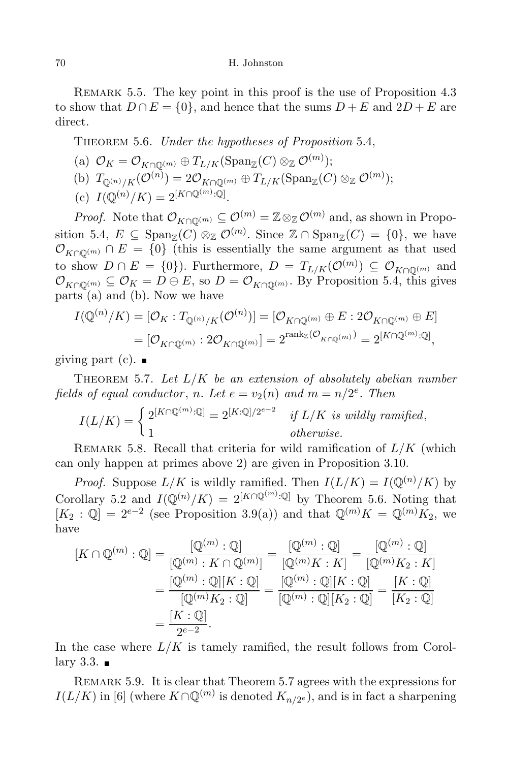#### 70 H. Johnston

REMARK 5.5. The key point in this proof is the use of Proposition 4.3 to show that  $D \cap E = \{0\}$ , and hence that the sums  $D + E$  and  $2D + E$  are direct.

THEOREM 5.6. Under the hypotheses of Proposition 5.4,

(a) 
$$
\mathcal{O}_K = \mathcal{O}_{K \cap \mathbb{Q}^{(m)}} \oplus T_{L/K}(\text{Span}_{\mathbb{Z}}(C) \otimes_{\mathbb{Z}} \mathcal{O}^{(m)});
$$
  
\n(b)  $T_{\mathbb{Q}^{(n)}/K}(\mathcal{O}^{(n)}) = 2\mathcal{O}_{K \cap \mathbb{Q}^{(m)}} \oplus T_{L/K}(\text{Span}_{\mathbb{Z}}(C) \otimes_{\mathbb{Z}} \mathcal{O}^{(m)});$   
\n(c)  $I(\mathbb{Q}^{(n)}/K) = 2^{[K \cap \mathbb{Q}^{(m)} : \mathbb{Q}]}.$ 

*Proof.* Note that  $\mathcal{O}_{K\cap\mathbb{O}(m)} \subseteq \mathcal{O}^{(m)} = \mathbb{Z} \otimes_{\mathbb{Z}} \mathcal{O}^{(m)}$  and, as shown in Proposition 5.4,  $E \subseteq \text{Span}_{\mathbb{Z}}(C) \otimes_{\mathbb{Z}} \mathcal{O}^{(m)}$ . Since  $\mathbb{Z} \cap \text{Span}_{\mathbb{Z}}(C) = \{0\}$ , we have  $\mathcal{O}_{K\cap\mathbb{Q}^{(m)}}\cap E=\{0\}$  (this is essentially the same argument as that used to show  $D \cap E = \{0\}$ . Furthermore,  $D = T_{L/K}(\mathcal{O}^{(m)}) \subseteq \mathcal{O}_{K \cap \mathbb{Q}^{(m)}}$  and  $\mathcal{O}_{K\cap\mathbb{O}^{(m)}}\subseteq\mathcal{O}_K=D\oplus E$ , so  $D=\mathcal{O}_{K\cap\mathbb{O}^{(m)}}$ . By Proposition 5.4, this gives parts (a) and (b). Now we have

$$
I(\mathbb{Q}^{(n)}/K) = [\mathcal{O}_K : T_{\mathbb{Q}^{(n)}/K}(\mathcal{O}^{(n)})] = [\mathcal{O}_{K \cap \mathbb{Q}^{(m)}} \oplus E : 2\mathcal{O}_{K \cap \mathbb{Q}^{(m)}} \oplus E]
$$
  
=  $[\mathcal{O}_{K \cap \mathbb{Q}^{(m)}} : 2\mathcal{O}_{K \cap \mathbb{Q}^{(m)}}] = 2^{\text{rank}_{\mathbb{Z}}(\mathcal{O}_{K \cap \mathbb{Q}^{(m)}})} = 2^{[K \cap \mathbb{Q}^{(m)} : \mathbb{Q}]},$ 

giving part  $(c)$ . ■

THEOREM 5.7. Let  $L/K$  be an extension of absolutely abelian number fields of equal conductor, n. Let  $e = v_2(n)$  and  $m = n/2^e$ . Then

$$
I(L/K) = \begin{cases} 2^{[K \cap \mathbb{Q}^{(m)}: \mathbb{Q}]} = 2^{[K:\mathbb{Q}]/2^{e-2}} & \text{if } L/K \text{ is wildly ramified,} \\ 1 & \text{otherwise.} \end{cases}
$$

REMARK 5.8. Recall that criteria for wild ramification of  $L/K$  (which can only happen at primes above 2) are given in Proposition 3.10.

*Proof.* Suppose  $L/K$  is wildly ramified. Then  $I(L/K) = I(\mathbb{Q}^{(n)}/K)$  by Corollary 5.2 and  $I(\mathbb{Q}^{(n)}/K) = 2^{[K \cap \mathbb{Q}^{(m)}:\mathbb{Q}]}$  by Theorem 5.6. Noting that  $[K_2: \mathbb{Q}] = 2^{e-2}$  (see Proposition 3.9(a)) and that  $\mathbb{Q}^{(m)}K = \mathbb{Q}^{(m)}K_2$ , we have

$$
[K \cap \mathbb{Q}^{(m)} : \mathbb{Q}] = \frac{[\mathbb{Q}^{(m)} : \mathbb{Q}]}{[\mathbb{Q}^{(m)} : K \cap \mathbb{Q}^{(m)}]} = \frac{[\mathbb{Q}^{(m)} : \mathbb{Q}]}{[\mathbb{Q}^{(m)} K : K]} = \frac{[\mathbb{Q}^{(m)} : \mathbb{Q}]}{[\mathbb{Q}^{(m)} K : K]} = \frac{[\mathbb{Q}^{(m)} : \mathbb{Q}][K : \mathbb{Q}]}{[\mathbb{Q}^{(m)} K_2 : \mathbb{Q}]} = \frac{[\mathbb{Q}^{(m)} : \mathbb{Q}][K : \mathbb{Q}]}{[\mathbb{Q}^{(m)} : \mathbb{Q}][K_2 : \mathbb{Q}]} = \frac{[K : \mathbb{Q}]}{2e^{-2}}.
$$

In the case where  $L/K$  is tamely ramified, the result follows from Corollary 3.3.  $\blacksquare$ 

Remark 5.9. It is clear that Theorem 5.7 agrees with the expressions for  $I(L/K)$  in [6] (where  $K \cap \mathbb{Q}^{(m)}$  is denoted  $K_{n/2^e}$ ), and is in fact a sharpening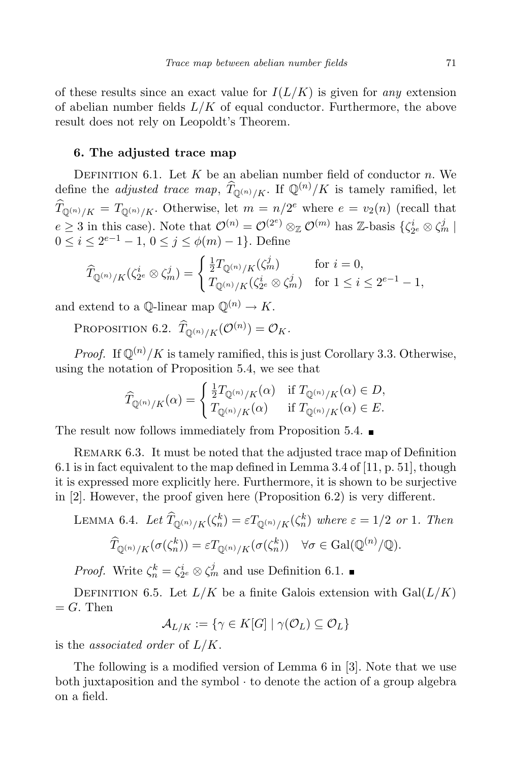of these results since an exact value for  $I(L/K)$  is given for any extension of abelian number fields  $L/K$  of equal conductor. Furthermore, the above result does not rely on Leopoldt's Theorem.

### 6. The adjusted trace map

DEFINITION 6.1. Let  $K$  be an abelian number field of conductor  $n$ . We define the *adjusted trace map*,  $\widehat{T}_{\mathbb{Q}^{(n)}/K}$ . If  $\mathbb{Q}^{(n)}/K$  is tamely ramified, let  $T_{\mathbb{Q}^{(n)}/K} = T_{\mathbb{Q}^{(n)}/K}$ . Otherwise, let  $m = n/2^e$  where  $e = v_2(n)$  (recall that  $e \geq 3$  in this case). Note that  $\mathcal{O}^{(n)} = \mathcal{O}^{(2^e)} \otimes_{\mathbb{Z}} \mathcal{O}^{(m)}$  has Z-basis  $\{\zeta_{2^e}^i \otimes \zeta_m^j \mid$  $0 \le i \le 2^{e-1} - 1, 0 \le j \le \phi(m) - 1$ . Define

$$
\widehat{T}_{\mathbb{Q}^{(n)}/K}(\zeta_{2^e}^i \otimes \zeta_m^j) = \begin{cases} \frac{1}{2}T_{\mathbb{Q}^{(n)}/K}(\zeta_m^j) & \text{for } i = 0, \\ T_{\mathbb{Q}^{(n)}/K}(\zeta_{2^e}^i \otimes \zeta_m^j) & \text{for } 1 \le i \le 2^{e-1}-1, \end{cases}
$$

and extend to a  $\mathbb{O}\text{-linear map }\mathbb{O}^{(n)} \to K$ .

PROPOSITION 6.2.  $\widehat{T}_{\mathbb{Q}^{(n)}/K}(\mathcal{O}^{(n)}) = \mathcal{O}_K$ .

*Proof.* If  $\mathbb{Q}^{(n)}/K$  is tamely ramified, this is just Corollary 3.3. Otherwise, using the notation of Proposition 5.4, we see that

$$
\widehat{T}_{\mathbb{Q}^{(n)}/K}(\alpha) = \begin{cases} \frac{1}{2}T_{\mathbb{Q}^{(n)}/K}(\alpha) & \text{if } T_{\mathbb{Q}^{(n)}/K}(\alpha) \in D, \\ T_{\mathbb{Q}^{(n)}/K}(\alpha) & \text{if } T_{\mathbb{Q}^{(n)}/K}(\alpha) \in E. \end{cases}
$$

The result now follows immediately from Proposition 5.4.

REMARK 6.3. It must be noted that the adjusted trace map of Definition 6.1 is in fact equivalent to the map defined in Lemma 3.4 of [11, p. 51], though it is expressed more explicitly here. Furthermore, it is shown to be surjective in [2]. However, the proof given here (Proposition 6.2) is very different.

LEMMA 6.4. Let  $\widehat{T}_{\mathbb{Q}^{(n)}/K}(\zeta_n^k) = \varepsilon T_{\mathbb{Q}^{(n)}/K}(\zeta_n^k)$  where  $\varepsilon = 1/2$  or 1. Then  $\widehat{T}_{\mathbb{Q}^{(n)}/K}(\sigma(\zeta_n^k)) = \varepsilon T_{\mathbb{Q}^{(n)}/K}(\sigma(\zeta_n^k)) \quad \forall \sigma \in \mathrm{Gal}(\mathbb{Q}^{(n)}/\mathbb{Q}).$ 

*Proof.* Write  $\zeta_n^k = \zeta_{2^e}^i \otimes \zeta_m^j$  and use Definition 6.1.

DEFINITION 6.5. Let  $L/K$  be a finite Galois extension with  $Gal(L/K)$  $=G$ . Then

 $\mathcal{A}_{L/K} := \{ \gamma \in K[G] \mid \gamma(\mathcal{O}_L) \subseteq \mathcal{O}_L \}$ 

is the associated order of  $L/K$ .

The following is a modified version of Lemma 6 in [3]. Note that we use both juxtaposition and the symbol · to denote the action of a group algebra on a field.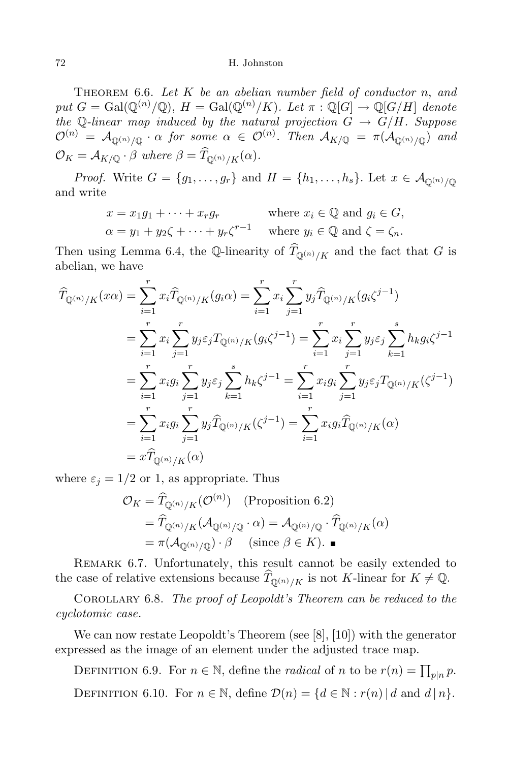THEOREM 6.6. Let  $K$  be an abelian number field of conductor n, and put  $G = \text{Gal}(\mathbb{Q}^{(n)}/\mathbb{Q}), H = \text{Gal}(\mathbb{Q}^{(n)}/K)$ . Let  $\pi : \mathbb{Q}[G] \to \mathbb{Q}[G/H]$  denote the Q-linear map induced by the natural projection  $G \rightarrow G/H$ . Suppose  ${\cal O}^{(n)}\;=\;{\cal A}_{{\mathbb Q}^{(n)}/{\mathbb Q}}\,\cdot\,\alpha\; \, \hbox{\it for some}\;\, \alpha\;\in\;{\cal O}^{(n)}.$  Then  ${\cal A}_{K/{\mathbb Q}}\;=\;\pi({\cal A}_{{\mathbb Q}^{(n)}/{\mathbb Q}})$  and  $\mathcal{O}_K = \mathcal{A}_{K/\mathbb{Q}} \cdot \beta$  where  $\beta = T_{\mathbb{Q}^{(n)}/K}(\alpha)$ .

*Proof.* Write  $G = \{g_1, \ldots, g_r\}$  and  $H = \{h_1, \ldots, h_s\}$ . Let  $x \in \mathcal{A}_{\mathbb{Q}^{(n)}/\mathbb{Q}}$ and write

$$
x = x_1 g_1 + \dots + x_r g_r \qquad \text{where } x_i \in \mathbb{Q} \text{ and } g_i \in G,
$$
  
\n
$$
\alpha = y_1 + y_2 \zeta + \dots + y_r \zeta^{r-1} \qquad \text{where } y_i \in \mathbb{Q} \text{ and } \zeta = \zeta_n.
$$

Then using Lemma 6.4, the Q-linearity of  $T_{\mathbb{Q}^{(n)}/K}$  and the fact that G is abelian, we have

$$
\widehat{T}_{\mathbb{Q}^{(n)}/K}(x\alpha) = \sum_{i=1}^{r} x_i \widehat{T}_{\mathbb{Q}^{(n)}/K}(g_i\alpha) = \sum_{i=1}^{r} x_i \sum_{j=1}^{r} y_j \widehat{T}_{\mathbb{Q}^{(n)}/K}(g_i\zeta^{j-1})
$$
\n
$$
= \sum_{i=1}^{r} x_i \sum_{j=1}^{r} y_j \varepsilon_j T_{\mathbb{Q}^{(n)}/K}(g_i\zeta^{j-1}) = \sum_{i=1}^{r} x_i \sum_{j=1}^{r} y_j \varepsilon_j \sum_{k=1}^{s} h_k g_i \zeta^{j-1}
$$
\n
$$
= \sum_{i=1}^{r} x_i g_i \sum_{j=1}^{r} y_j \varepsilon_j \sum_{k=1}^{s} h_k \zeta^{j-1} = \sum_{i=1}^{r} x_i g_i \sum_{j=1}^{r} y_j \varepsilon_j T_{\mathbb{Q}^{(n)}/K}(\zeta^{j-1})
$$
\n
$$
= \sum_{i=1}^{r} x_i g_i \sum_{j=1}^{r} y_j \widehat{T}_{\mathbb{Q}^{(n)}/K}(\zeta^{j-1}) = \sum_{i=1}^{r} x_i g_i \widehat{T}_{\mathbb{Q}^{(n)}/K}(\alpha)
$$
\n
$$
= x \widehat{T}_{\mathbb{Q}^{(n)}/K}(\alpha)
$$

where  $\varepsilon_j = 1/2$  or 1, as appropriate. Thus

$$
\mathcal{O}_K = \widehat{T}_{\mathbb{Q}^{(n)}/K}(\mathcal{O}^{(n)}) \quad \text{(Proposition 6.2)}
$$
\n
$$
= \widehat{T}_{\mathbb{Q}^{(n)}/K}(\mathcal{A}_{\mathbb{Q}^{(n)}/\mathbb{Q}} \cdot \alpha) = \mathcal{A}_{\mathbb{Q}^{(n)}/\mathbb{Q}} \cdot \widehat{T}_{\mathbb{Q}^{(n)}/K}(\alpha)
$$
\n
$$
= \pi(\mathcal{A}_{\mathbb{Q}^{(n)}/\mathbb{Q}}) \cdot \beta \quad \text{(since } \beta \in K). \blacksquare
$$

REMARK 6.7. Unfortunately, this result cannot be easily extended to the case of relative extensions because  $T_{\mathbb{Q}^{(n)}/K}$  is not K-linear for  $K \neq \mathbb{Q}$ .

COROLLARY 6.8. The proof of Leopoldt's Theorem can be reduced to the cyclotomic case.

We can now restate Leopoldt's Theorem (see [8], [10]) with the generator expressed as the image of an element under the adjusted trace map.

DEFINITION 6.9. For  $n \in \mathbb{N}$ , define the *radical* of n to be  $r(n) = \prod_{p|n} p$ . DEFINITION 6.10. For  $n \in \mathbb{N}$ , define  $\mathcal{D}(n) = \{d \in \mathbb{N} : r(n) | d \text{ and } d | n\}.$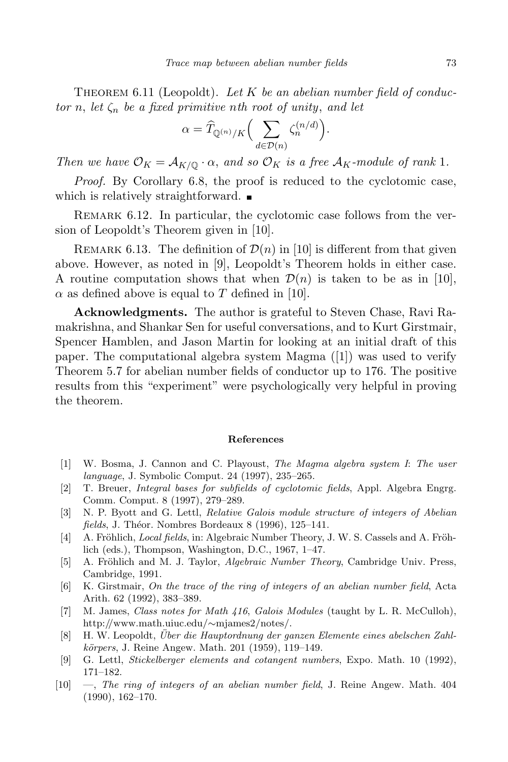THEOREM 6.11 (Leopoldt). Let K be an abelian number field of conductor n, let  $\zeta_n$  be a fixed primitive nth root of unity, and let

$$
\alpha = \widehat{T}_{\mathbb{Q}^{(n)}/K} \Big( \sum_{d \in \mathcal{D}(n)} \zeta_n^{(n/d)} \Big).
$$

Then we have  $\mathcal{O}_K = \mathcal{A}_{K/\mathbb{Q}} \cdot \alpha$ , and so  $\mathcal{O}_K$  is a free  $\mathcal{A}_K$ -module of rank 1.

Proof. By Corollary 6.8, the proof is reduced to the cyclotomic case, which is relatively straightforward.

REMARK 6.12. In particular, the cyclotomic case follows from the version of Leopoldt's Theorem given in [10].

REMARK 6.13. The definition of  $\mathcal{D}(n)$  in [10] is different from that given above. However, as noted in [9], Leopoldt's Theorem holds in either case. A routine computation shows that when  $\mathcal{D}(n)$  is taken to be as in [10],  $\alpha$  as defined above is equal to T defined in [10].

Acknowledgments. The author is grateful to Steven Chase, Ravi Ramakrishna, and Shankar Sen for useful conversations, and to Kurt Girstmair, Spencer Hamblen, and Jason Martin for looking at an initial draft of this paper. The computational algebra system Magma ([1]) was used to verify Theorem 5.7 for abelian number fields of conductor up to 176. The positive results from this "experiment" were psychologically very helpful in proving the theorem.

#### References

- [1] W. Bosma, J. Cannon and C. Playoust, The Magma algebra system I: The user language, J. Symbolic Comput. 24 (1997), 235–265.
- [2] T. Breuer, Integral bases for subfields of cyclotomic fields, Appl. Algebra Engrg. Comm. Comput. 8 (1997), 279–289.
- [3] N. P. Byott and G. Lettl, Relative Galois module structure of integers of Abelian fields, J. Théor. Nombres Bordeaux 8 (1996), 125–141.
- [4] A. Fröhlich, *Local fields*, in: Algebraic Number Theory, J. W. S. Cassels and A. Fröhlich (eds.), Thompson, Washington, D.C., 1967, 1–47.
- [5] A. Fröhlich and M. J. Taylor, *Algebraic Number Theory*, Cambridge Univ. Press, Cambridge, 1991.
- [6] K. Girstmair, On the trace of the ring of integers of an abelian number field, Acta Arith. 62 (1992), 383–389.
- [7] M. James, Class notes for Math 416, Galois Modules (taught by L. R. McCulloh), http://www.math.uiuc.edu/∼mjames2/notes/.
- [8] H. W. Leopoldt, Über die Hauptordnung der ganzen Elemente eines abelschen Zahlkörpers, J. Reine Angew. Math. 201 (1959), 119–149.
- [9] G. Lettl, Stickelberger elements and cotangent numbers, Expo. Math. 10 (1992), 171–182.
- [10] —, The ring of integers of an abelian number field, J. Reine Angew. Math. 404 (1990), 162–170.